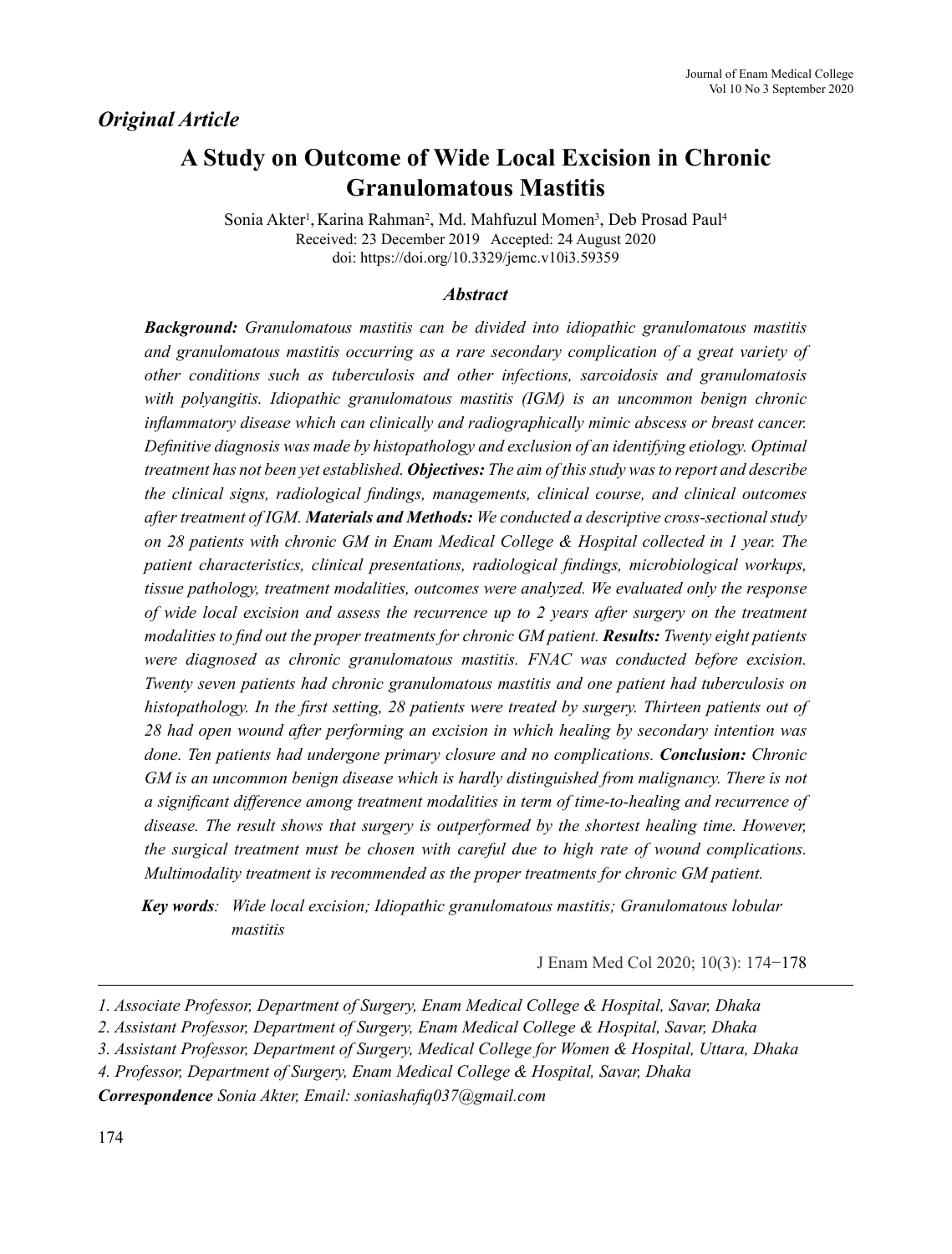## *Original Article*

# **A Study on Outcome of Wide Local Excision in Chronic Granulomatous Mastitis**

Sonia Akter<sup>1</sup>, Karina Rahman<sup>2</sup>, Md. Mahfuzul Momen<sup>3</sup>, Deb Prosad Paul<sup>4</sup> Received: 23 December 2019 Accepted: 24 August 2020 doi: https://doi.org/10.3329/jemc.v10i3.59359

#### *Abstract*

*Background: Granulomatous mastitis can be divided into idiopathic granulomatous mastitis and granulomatous mastitis occurring as a rare secondary complication of a great variety of other conditions such as tuberculosis and other infections, sarcoidosis and granulomatosis with polyangitis. Idiopathic granulomatous mastitis (IGM) is an uncommon benign chronic inflammatory disease which can clinically and radiographically mimic abscess or breast cancer. Definitive diagnosis was made by histopathology and exclusion of an identifying etiology. Optimal treatment has not been yet established. Objectives: The aim of this study was to report and describe the clinical signs, radiological findings, managements, clinical course, and clinical outcomes after treatment of IGM. Materials and Methods: We conducted a descriptive cross-sectional study on 28 patients with chronic GM in Enam Medical College & Hospital collected in 1 year. The patient characteristics, clinical presentations, radiological findings, microbiological workups, tissue pathology, treatment modalities, outcomes were analyzed. We evaluated only the response of wide local excision and assess the recurrence up to 2 years after surgery on the treatment modalities to find out the proper treatments for chronic GM patient. Results: Twenty eight patients were diagnosed as chronic granulomatous mastitis. FNAC was conducted before excision. Twenty seven patients had chronic granulomatous mastitis and one patient had tuberculosis on histopathology. In the first setting, 28 patients were treated by surgery. Thirteen patients out of 28 had open wound after performing an excision in which healing by secondary intention was done. Ten patients had undergone primary closure and no complications. Conclusion: Chronic GM is an uncommon benign disease which is hardly distinguished from malignancy. There is not a significant difference among treatment modalities in term of time-to-healing and recurrence of disease. The result shows that surgery is outperformed by the shortest healing time. However, the surgical treatment must be chosen with careful due to high rate of wound complications. Multimodality treatment is recommended as the proper treatments for chronic GM patient.*

*Key words: Wide local excision; Idiopathic granulomatous mastitis; Granulomatous lobular mastitis*

J Enam Med Col 2020; 10(3): 174−178

*Correspondence Sonia Akter, Email: soniashafiq037@gmail.com*

*<sup>1.</sup> Associate Professor, Department of Surgery, Enam Medical College & Hospital, Savar, Dhaka*

*<sup>2.</sup> Assistant Professor, Department of Surgery, Enam Medical College & Hospital, Savar, Dhaka*

*<sup>3.</sup> Assistant Professor, Department of Surgery, Medical College for Women & Hospital, Uttara, Dhaka*

*<sup>4.</sup> Professor, Department of Surgery, Enam Medical College & Hospital, Savar, Dhaka*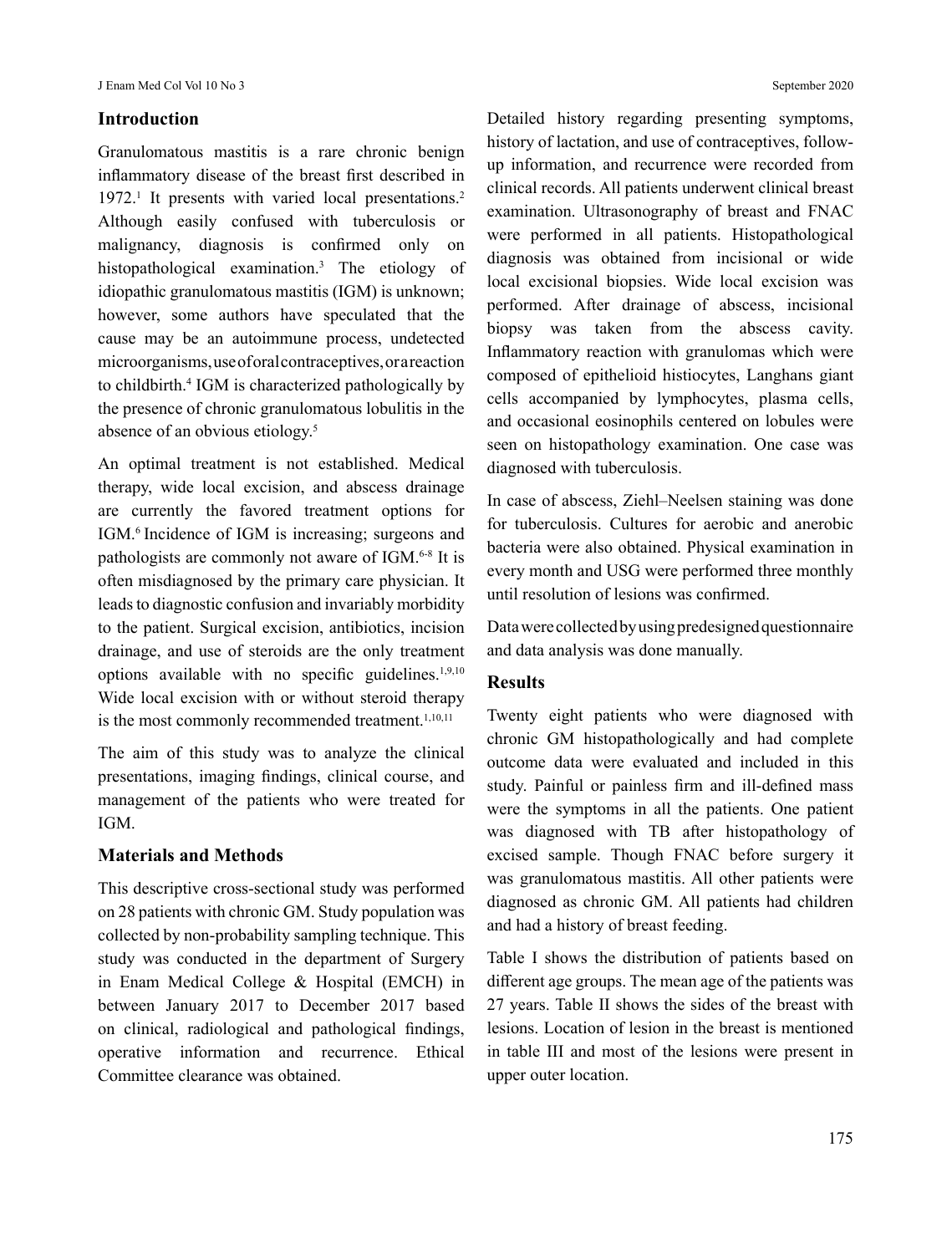### **Introduction**

Granulomatous mastitis is a rare chronic benign inflammatory disease of the breast first described in 1972.<sup>1</sup> It presents with varied local presentations.<sup>2</sup> Although easily confused with tuberculosis or malignancy, diagnosis is confirmed only on histopathological examination.3 The etiology of idiopathic granulomatous mastitis (IGM) is unknown; however, some authors have speculated that the cause may be an autoimmune process, undetected microorganisms, use of oral contraceptives, or a reaction to childbirth.4 IGM is characterized pathologically by the presence of chronic granulomatous lobulitis in the absence of an obvious etiology.<sup>5</sup>

An optimal treatment is not established. Medical therapy, wide local excision, and abscess drainage are currently the favored treatment options for IGM.6 Incidence of IGM is increasing; surgeons and pathologists are commonly not aware of IGM.<sup>6-8</sup> It is often misdiagnosed by the primary care physician. It leads to diagnostic confusion and invariably morbidity to the patient. Surgical excision, antibiotics, incision drainage, and use of steroids are the only treatment options available with no specific guidelines.1,9,10 Wide local excision with or without steroid therapy is the most commonly recommended treatment.<sup>1,10,11</sup>

The aim of this study was to analyze the clinical presentations, imaging findings, clinical course, and management of the patients who were treated for IGM.

#### **Materials and Methods**

This descriptive cross-sectional study was performed on 28 patients with chronic GM. Study population was collected by non-probability sampling technique. This study was conducted in the department of Surgery in Enam Medical College & Hospital (EMCH) in between January 2017 to December 2017 based on clinical, radiological and pathological findings, operative information and recurrence. Ethical Committee clearance was obtained.

Detailed history regarding presenting symptoms, history of lactation, and use of contraceptives, followup information, and recurrence were recorded from clinical records. All patients underwent clinical breast examination. Ultrasonography of breast and FNAC were performed in all patients. Histopathological diagnosis was obtained from incisional or wide local excisional biopsies. Wide local excision was performed. After drainage of abscess, incisional biopsy was taken from the abscess cavity. Inflammatory reaction with granulomas which were composed of epithelioid histiocytes, Langhans giant cells accompanied by lymphocytes, plasma cells, and occasional eosinophils centered on lobules were seen on histopathology examination. One case was diagnosed with tuberculosis.

In case of abscess, Ziehl–Neelsen staining was done for tuberculosis. Cultures for aerobic and anerobic bacteria were also obtained. Physical examination in every month and USG were performed three monthly until resolution of lesions was confirmed.

Data were collected by using predesigned questionnaire and data analysis was done manually.

#### **Results**

Twenty eight patients who were diagnosed with chronic GM histopathologically and had complete outcome data were evaluated and included in this study. Painful or painless firm and ill-defined mass were the symptoms in all the patients. One patient was diagnosed with TB after histopathology of excised sample. Though FNAC before surgery it was granulomatous mastitis. All other patients were diagnosed as chronic GM. All patients had children and had a history of breast feeding.

Table I shows the distribution of patients based on different age groups. The mean age of the patients was 27 years. Table II shows the sides of the breast with lesions. Location of lesion in the breast is mentioned in table III and most of the lesions were present in upper outer location.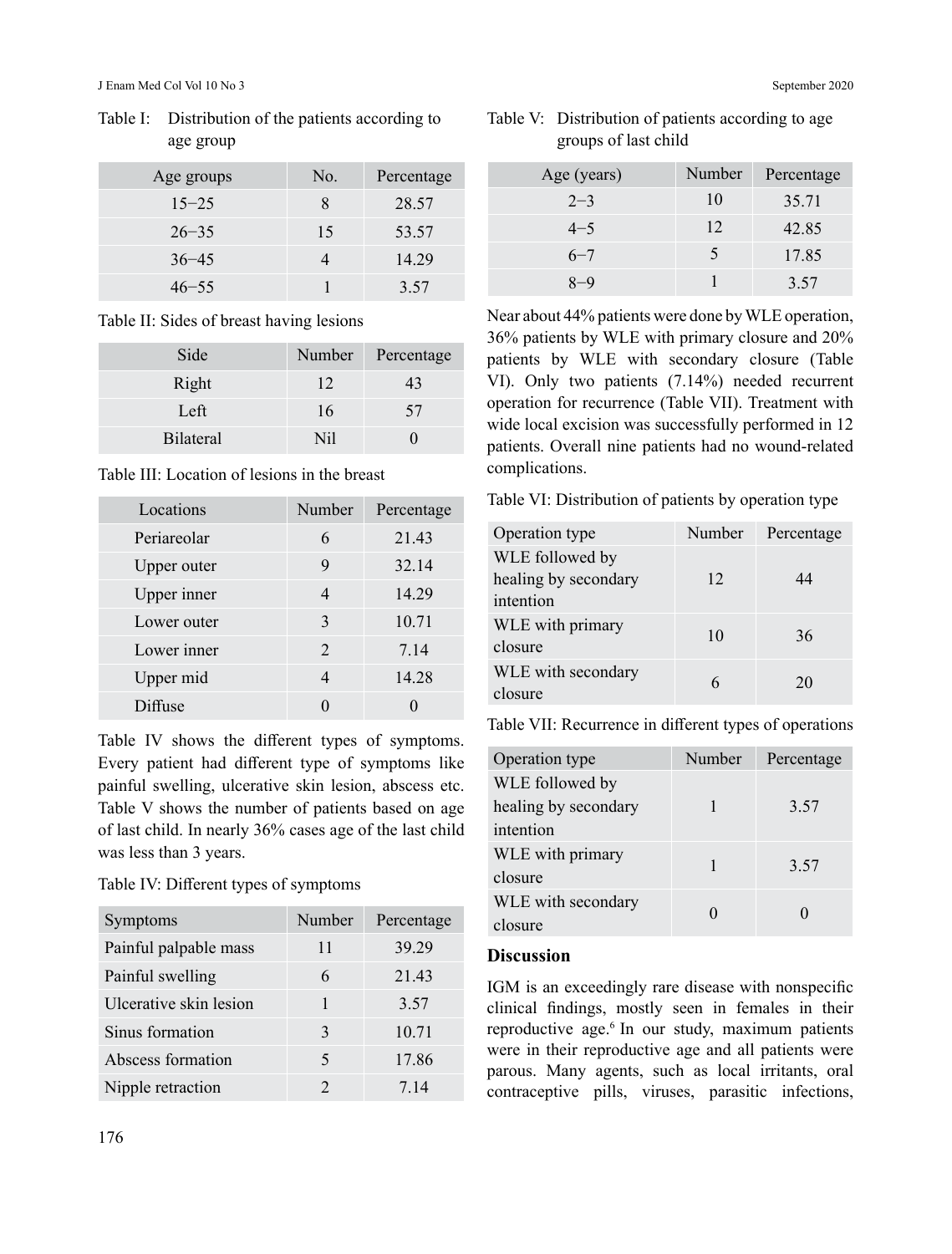| Age groups | No. | Percentage |
|------------|-----|------------|
| $15 - 25$  | 8   | 28.57      |
| $26 - 35$  | 15  | 53.57      |
| $36 - 45$  |     | 14.29      |
| $46 - 55$  |     | 3.57       |

Table I: Distribution of the patients according to age group

#### Table II: Sides of breast having lesions

| Side             |                 | Number Percentage |
|------------------|-----------------|-------------------|
| Right            | 12              | 43                |
| Left             | 16              | 57                |
| <b>Bilateral</b> | N <sub>il</sub> |                   |

#### Table III: Location of lesions in the breast

| Locations   | Number                      | Percentage |
|-------------|-----------------------------|------------|
| Periareolar | 6                           | 21.43      |
| Upper outer | 9                           | 32.14      |
| Upper inner | 4                           | 14.29      |
| Lower outer | 3                           | 10.71      |
| Lower inner | $\mathcal{D}_{\mathcal{L}}$ | 7.14       |
| Upper mid   | 4                           | 14.28      |
| Diffuse     |                             |            |

Table IV shows the different types of symptoms. Every patient had different type of symptoms like painful swelling, ulcerative skin lesion, abscess etc. Table V shows the number of patients based on age of last child. In nearly 36% cases age of the last child was less than 3 years.

Table IV: Different types of symptoms

| Symptoms               | Number                   | Percentage |
|------------------------|--------------------------|------------|
| Painful palpable mass  | 11                       | 39.29      |
| Painful swelling       | 6                        | 21.43      |
| Ulcerative skin lesion | 1                        | 3.57       |
| Sinus formation        | 3                        | 10.71      |
| Abscess formation      | $\overline{\phantom{0}}$ | 17.86      |
| Nipple retraction      | $\mathcal{D}_{\cdot}$    | 7.14       |

| Number                   | Percentage |
|--------------------------|------------|
| 10                       | 35.71      |
| 12                       | 42.85      |
| $\overline{\phantom{1}}$ | 17.85      |
|                          | 3.57       |
|                          |            |

Near about 44% patients were done by WLE operation, 36% patients by WLE with primary closure and 20% patients by WLE with secondary closure (Table VI). Only two patients (7.14%) needed recurrent operation for recurrence (Table VII). Treatment with wide local excision was successfully performed in 12 patients. Overall nine patients had no wound-related complications.

Table VI: Distribution of patients by operation type

| Operation type       | Number | Percentage |
|----------------------|--------|------------|
| WLE followed by      |        |            |
| healing by secondary | 12     | 44         |
| intention            |        |            |
| WLE with primary     | 10     | 36         |
| closure              |        |            |
| WLE with secondary   |        | 20         |
| closure              |        |            |

Table VII: Recurrence in different types of operations

| Operation type       | Number | Percentage |
|----------------------|--------|------------|
| WLE followed by      |        |            |
| healing by secondary |        | 3.57       |
| intention            |        |            |
| WLE with primary     |        |            |
| closure              |        | 3.57       |
| WLE with secondary   |        |            |
| closure              |        |            |

### **Discussion**

IGM is an exceedingly rare disease with nonspecific clinical findings, mostly seen in females in their reproductive age.6 In our study, maximum patients were in their reproductive age and all patients were parous. Many agents, such as local irritants, oral contraceptive pills, viruses, parasitic infections,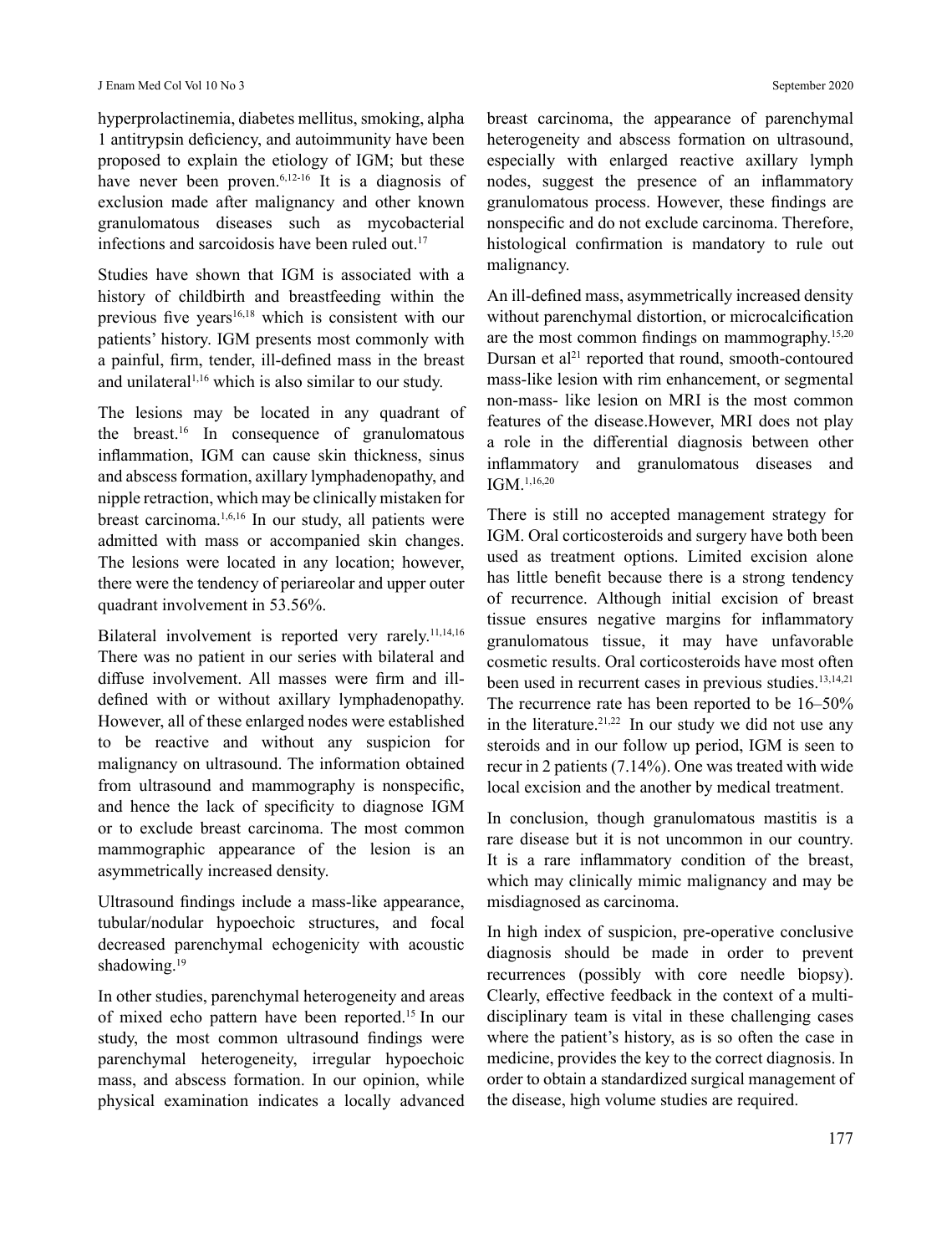hyperprolactinemia, diabetes mellitus, smoking, alpha 1 antitrypsin deficiency, and autoimmunity have been proposed to explain the etiology of IGM; but these have never been proven.<sup>6,12-16</sup> It is a diagnosis of exclusion made after malignancy and other known granulomatous diseases such as mycobacterial infections and sarcoidosis have been ruled out.<sup>17</sup>

Studies have shown that IGM is associated with a history of childbirth and breastfeeding within the previous five years<sup>16,18</sup> which is consistent with our patients' history. IGM presents most commonly with a painful, firm, tender, ill-defined mass in the breast and unilateral<sup>1,16</sup> which is also similar to our study.

The lesions may be located in any quadrant of the breast.<sup>16</sup> In consequence of granulomatous inflammation, IGM can cause skin thickness, sinus and abscess formation, axillary lymphadenopathy, and nipple retraction, which may be clinically mistaken for breast carcinoma.1,6,16 In our study, all patients were admitted with mass or accompanied skin changes. The lesions were located in any location; however, there were the tendency of periareolar and upper outer quadrant involvement in 53.56%.

Bilateral involvement is reported very rarely.<sup>11,14,16</sup> There was no patient in our series with bilateral and diffuse involvement. All masses were firm and illdefined with or without axillary lymphadenopathy. However, all of these enlarged nodes were established to be reactive and without any suspicion for malignancy on ultrasound. The information obtained from ultrasound and mammography is nonspecific, and hence the lack of specificity to diagnose IGM or to exclude breast carcinoma. The most common mammographic appearance of the lesion is an asymmetrically increased density.

Ultrasound findings include a mass-like appearance, tubular/nodular hypoechoic structures, and focal decreased parenchymal echogenicity with acoustic shadowing.<sup>19</sup>

In other studies, parenchymal heterogeneity and areas of mixed echo pattern have been reported.15 In our study, the most common ultrasound findings were parenchymal heterogeneity, irregular hypoechoic mass, and abscess formation. In our opinion, while physical examination indicates a locally advanced breast carcinoma, the appearance of parenchymal heterogeneity and abscess formation on ultrasound, especially with enlarged reactive axillary lymph nodes, suggest the presence of an inflammatory granulomatous process. However, these findings are nonspecific and do not exclude carcinoma. Therefore, histological confirmation is mandatory to rule out malignancy.

An ill-defined mass, asymmetrically increased density without parenchymal distortion, or microcalcification are the most common findings on mammography.15,20 Dursan et al<sup>21</sup> reported that round, smooth-contoured mass-like lesion with rim enhancement, or segmental non-mass- like lesion on MRI is the most common features of the disease.However, MRI does not play a role in the differential diagnosis between other inflammatory and granulomatous diseases and IGM.1,16,20

There is still no accepted management strategy for IGM. Oral corticosteroids and surgery have both been used as treatment options. Limited excision alone has little benefit because there is a strong tendency of recurrence. Although initial excision of breast tissue ensures negative margins for inflammatory granulomatous tissue, it may have unfavorable cosmetic results. Oral corticosteroids have most often been used in recurrent cases in previous studies.<sup>13,14,21</sup> The recurrence rate has been reported to be 16–50% in the literature.<sup>21,22</sup> In our study we did not use any steroids and in our follow up period, IGM is seen to recur in 2 patients (7.14%). One was treated with wide local excision and the another by medical treatment.

In conclusion, though granulomatous mastitis is a rare disease but it is not uncommon in our country. It is a rare inflammatory condition of the breast, which may clinically mimic malignancy and may be misdiagnosed as carcinoma.

In high index of suspicion, pre-operative conclusive diagnosis should be made in order to prevent recurrences (possibly with core needle biopsy). Clearly, effective feedback in the context of a multidisciplinary team is vital in these challenging cases where the patient's history, as is so often the case in medicine, provides the key to the correct diagnosis. In order to obtain a standardized surgical management of the disease, high volume studies are required.